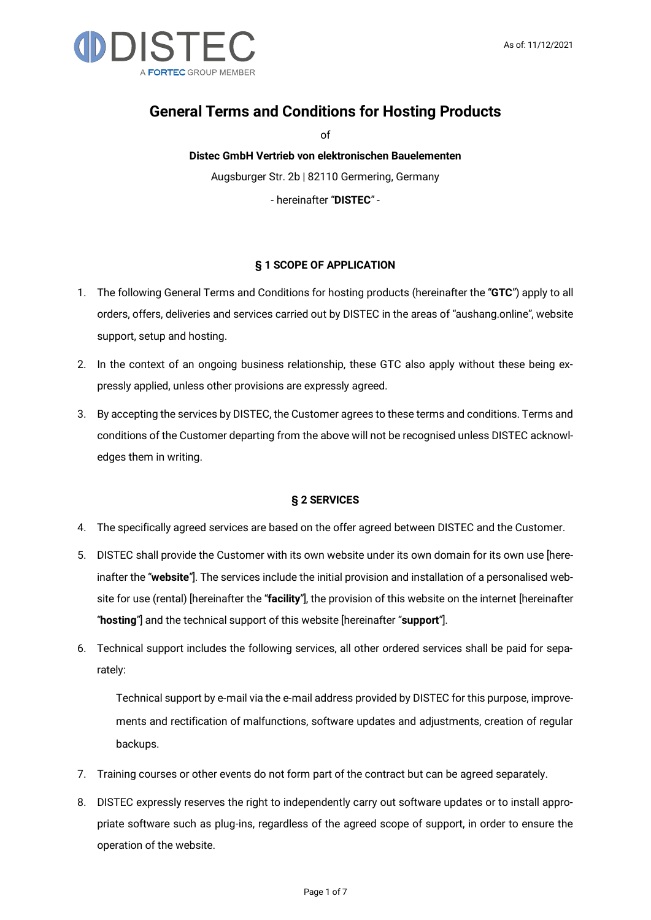

# General Terms and Conditions for Hosting Products

of

Distec GmbH Vertrieb von elektronischen Bauelementen Augsburger Str. 2b | 82110 Germering, Germany

- hereinafter "DISTEC" -

# § 1 SCOPE OF APPLICATION

- 1. The following General Terms and Conditions for hosting products (hereinafter the "GTC") apply to all orders, offers, deliveries and services carried out by DISTEC in the areas of "aushang.online", website support, setup and hosting.
- 2. In the context of an ongoing business relationship, these GTC also apply without these being expressly applied, unless other provisions are expressly agreed.
- 3. By accepting the services by DISTEC, the Customer agrees to these terms and conditions. Terms and conditions of the Customer departing from the above will not be recognised unless DISTEC acknowledges them in writing.

## § 2 SERVICES

- 4. The specifically agreed services are based on the offer agreed between DISTEC and the Customer.
- 5. DISTEC shall provide the Customer with its own website under its own domain for its own use [hereinafter the "website"]. The services include the initial provision and installation of a personalised website for use (rental) [hereinafter the "facility"], the provision of this website on the internet [hereinafter "hosting"] and the technical support of this website [hereinafter "support"].
- 6. Technical support includes the following services, all other ordered services shall be paid for separately:

Technical support by e-mail via the e-mail address provided by DISTEC for this purpose, improvements and rectification of malfunctions, software updates and adjustments, creation of regular backups.

- 7. Training courses or other events do not form part of the contract but can be agreed separately.
- 8. DISTEC expressly reserves the right to independently carry out software updates or to install appropriate software such as plug-ins, regardless of the agreed scope of support, in order to ensure the operation of the website.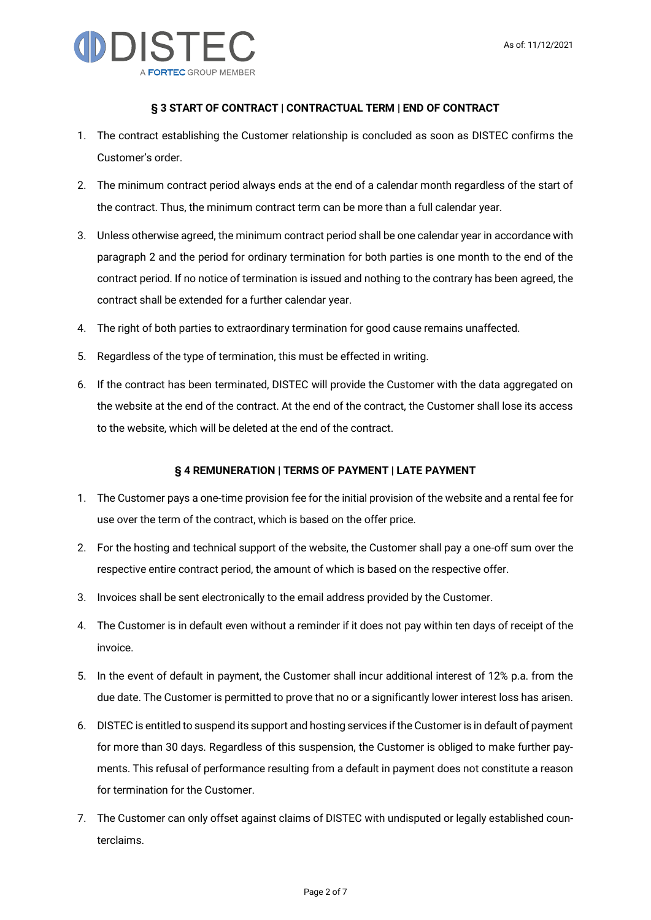

## § 3 START OF CONTRACT | CONTRACTUAL TERM | END OF CONTRACT

- 1. The contract establishing the Customer relationship is concluded as soon as DISTEC confirms the Customer's order.
- 2. The minimum contract period always ends at the end of a calendar month regardless of the start of the contract. Thus, the minimum contract term can be more than a full calendar year.
- 3. Unless otherwise agreed, the minimum contract period shall be one calendar year in accordance with paragraph 2 and the period for ordinary termination for both parties is one month to the end of the contract period. If no notice of termination is issued and nothing to the contrary has been agreed, the contract shall be extended for a further calendar year.
- 4. The right of both parties to extraordinary termination for good cause remains unaffected.
- 5. Regardless of the type of termination, this must be effected in writing.
- 6. If the contract has been terminated, DISTEC will provide the Customer with the data aggregated on the website at the end of the contract. At the end of the contract, the Customer shall lose its access to the website, which will be deleted at the end of the contract.

# § 4 REMUNERATION | TERMS OF PAYMENT | LATE PAYMENT

- 1. The Customer pays a one-time provision fee for the initial provision of the website and a rental fee for use over the term of the contract, which is based on the offer price.
- 2. For the hosting and technical support of the website, the Customer shall pay a one-off sum over the respective entire contract period, the amount of which is based on the respective offer.
- 3. Invoices shall be sent electronically to the email address provided by the Customer.
- 4. The Customer is in default even without a reminder if it does not pay within ten days of receipt of the invoice.
- 5. In the event of default in payment, the Customer shall incur additional interest of 12% p.a. from the due date. The Customer is permitted to prove that no or a significantly lower interest loss has arisen.
- 6. DISTEC is entitled to suspend its support and hosting services if the Customer is in default of payment for more than 30 days. Regardless of this suspension, the Customer is obliged to make further payments. This refusal of performance resulting from a default in payment does not constitute a reason for termination for the Customer.
- 7. The Customer can only offset against claims of DISTEC with undisputed or legally established counterclaims.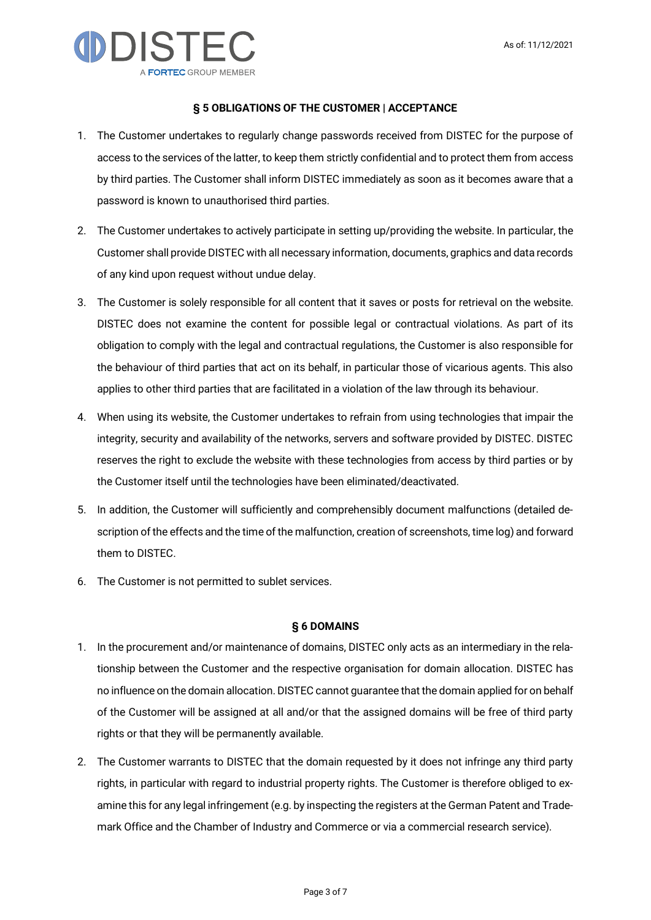

#### § 5 OBLIGATIONS OF THE CUSTOMER | ACCEPTANCE

- 1. The Customer undertakes to regularly change passwords received from DISTEC for the purpose of access to the services of the latter, to keep them strictly confidential and to protect them from access by third parties. The Customer shall inform DISTEC immediately as soon as it becomes aware that a password is known to unauthorised third parties.
- 2. The Customer undertakes to actively participate in setting up/providing the website. In particular, the Customer shall provide DISTEC with all necessary information, documents, graphics and data records of any kind upon request without undue delay.
- 3. The Customer is solely responsible for all content that it saves or posts for retrieval on the website. DISTEC does not examine the content for possible legal or contractual violations. As part of its obligation to comply with the legal and contractual regulations, the Customer is also responsible for the behaviour of third parties that act on its behalf, in particular those of vicarious agents. This also applies to other third parties that are facilitated in a violation of the law through its behaviour.
- 4. When using its website, the Customer undertakes to refrain from using technologies that impair the integrity, security and availability of the networks, servers and software provided by DISTEC. DISTEC reserves the right to exclude the website with these technologies from access by third parties or by the Customer itself until the technologies have been eliminated/deactivated.
- 5. In addition, the Customer will sufficiently and comprehensibly document malfunctions (detailed description of the effects and the time of the malfunction, creation of screenshots, time log) and forward them to DISTEC.
- 6. The Customer is not permitted to sublet services.

#### § 6 DOMAINS

- 1. In the procurement and/or maintenance of domains, DISTEC only acts as an intermediary in the relationship between the Customer and the respective organisation for domain allocation. DISTEC has no influence on the domain allocation. DISTEC cannot guarantee that the domain applied for on behalf of the Customer will be assigned at all and/or that the assigned domains will be free of third party rights or that they will be permanently available.
- 2. The Customer warrants to DISTEC that the domain requested by it does not infringe any third party rights, in particular with regard to industrial property rights. The Customer is therefore obliged to examine this for any legal infringement (e.g. by inspecting the registers at the German Patent and Trademark Office and the Chamber of Industry and Commerce or via a commercial research service).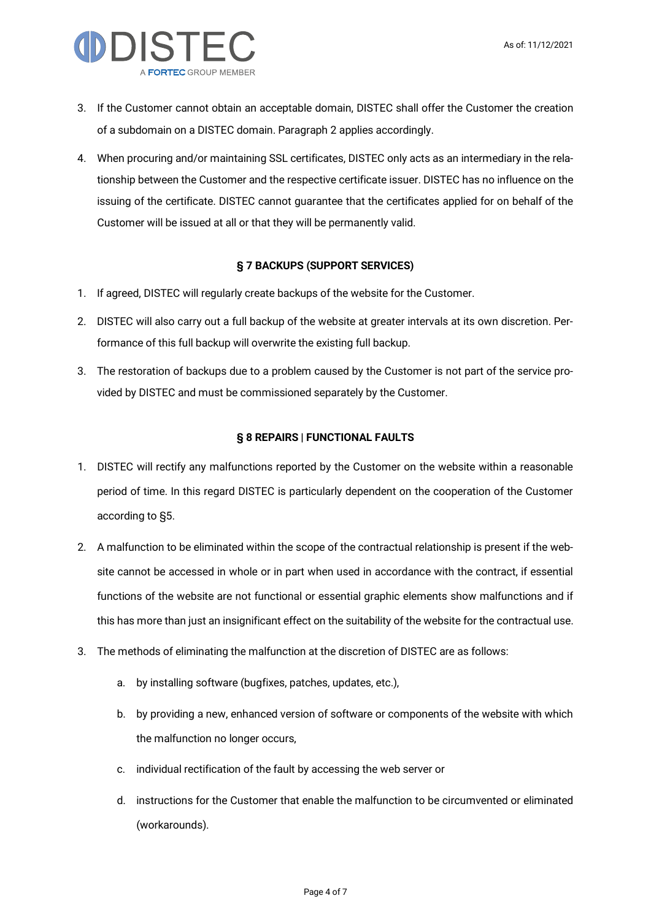

- 3. If the Customer cannot obtain an acceptable domain, DISTEC shall offer the Customer the creation of a subdomain on a DISTEC domain. Paragraph 2 applies accordingly.
- 4. When procuring and/or maintaining SSL certificates, DISTEC only acts as an intermediary in the relationship between the Customer and the respective certificate issuer. DISTEC has no influence on the issuing of the certificate. DISTEC cannot guarantee that the certificates applied for on behalf of the Customer will be issued at all or that they will be permanently valid.

# § 7 BACKUPS (SUPPORT SERVICES)

- 1. If agreed, DISTEC will regularly create backups of the website for the Customer.
- 2. DISTEC will also carry out a full backup of the website at greater intervals at its own discretion. Performance of this full backup will overwrite the existing full backup.
- 3. The restoration of backups due to a problem caused by the Customer is not part of the service provided by DISTEC and must be commissioned separately by the Customer.

# § 8 REPAIRS | FUNCTIONAL FAULTS

- 1. DISTEC will rectify any malfunctions reported by the Customer on the website within a reasonable period of time. In this regard DISTEC is particularly dependent on the cooperation of the Customer according to §5.
- 2. A malfunction to be eliminated within the scope of the contractual relationship is present if the website cannot be accessed in whole or in part when used in accordance with the contract, if essential functions of the website are not functional or essential graphic elements show malfunctions and if this has more than just an insignificant effect on the suitability of the website for the contractual use.
- 3. The methods of eliminating the malfunction at the discretion of DISTEC are as follows:
	- a. by installing software (bugfixes, patches, updates, etc.),
	- b. by providing a new, enhanced version of software or components of the website with which the malfunction no longer occurs,
	- c. individual rectification of the fault by accessing the web server or
	- d. instructions for the Customer that enable the malfunction to be circumvented or eliminated (workarounds).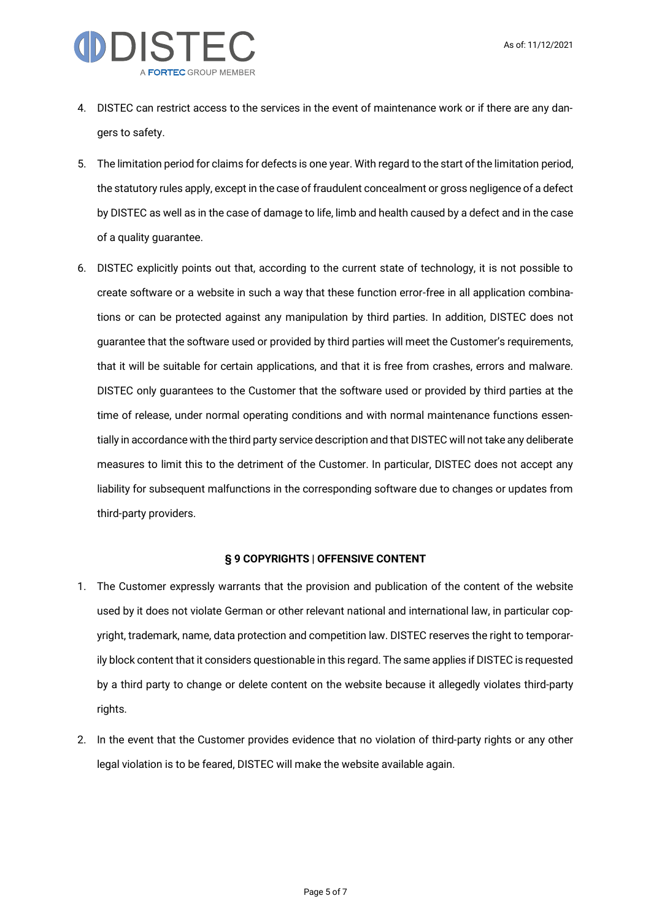

- 4. DISTEC can restrict access to the services in the event of maintenance work or if there are any dangers to safety.
- 5. The limitation period for claims for defects is one year. With regard to the start of the limitation period, the statutory rules apply, except in the case of fraudulent concealment or gross negligence of a defect by DISTEC as well as in the case of damage to life, limb and health caused by a defect and in the case of a quality guarantee.
- 6. DISTEC explicitly points out that, according to the current state of technology, it is not possible to create software or a website in such a way that these function error-free in all application combinations or can be protected against any manipulation by third parties. In addition, DISTEC does not guarantee that the software used or provided by third parties will meet the Customer's requirements, that it will be suitable for certain applications, and that it is free from crashes, errors and malware. DISTEC only guarantees to the Customer that the software used or provided by third parties at the time of release, under normal operating conditions and with normal maintenance functions essentially in accordance with the third party service description and that DISTEC will not take any deliberate measures to limit this to the detriment of the Customer. In particular, DISTEC does not accept any liability for subsequent malfunctions in the corresponding software due to changes or updates from third-party providers.

## § 9 COPYRIGHTS | OFFENSIVE CONTENT

- 1. The Customer expressly warrants that the provision and publication of the content of the website used by it does not violate German or other relevant national and international law, in particular copyright, trademark, name, data protection and competition law. DISTEC reserves the right to temporarily block content that it considers questionable in this regard. The same applies if DISTEC is requested by a third party to change or delete content on the website because it allegedly violates third-party rights.
- 2. In the event that the Customer provides evidence that no violation of third-party rights or any other legal violation is to be feared, DISTEC will make the website available again.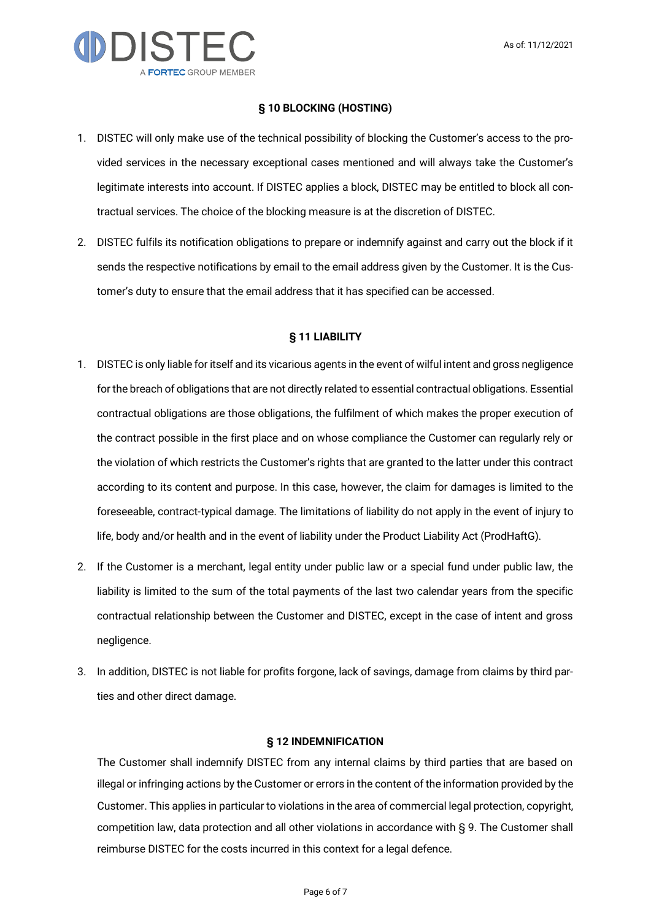

#### § 10 BLOCKING (HOSTING)

- 1. DISTEC will only make use of the technical possibility of blocking the Customer's access to the provided services in the necessary exceptional cases mentioned and will always take the Customer's legitimate interests into account. If DISTEC applies a block, DISTEC may be entitled to block all contractual services. The choice of the blocking measure is at the discretion of DISTEC.
- 2. DISTEC fulfils its notification obligations to prepare or indemnify against and carry out the block if it sends the respective notifications by email to the email address given by the Customer. It is the Customer's duty to ensure that the email address that it has specified can be accessed.

#### § 11 LIABILITY

- 1. DISTEC is only liable for itself and its vicarious agents in the event of wilful intent and gross negligence for the breach of obligations that are not directly related to essential contractual obligations. Essential contractual obligations are those obligations, the fulfilment of which makes the proper execution of the contract possible in the first place and on whose compliance the Customer can regularly rely or the violation of which restricts the Customer's rights that are granted to the latter under this contract according to its content and purpose. In this case, however, the claim for damages is limited to the foreseeable, contract-typical damage. The limitations of liability do not apply in the event of injury to life, body and/or health and in the event of liability under the Product Liability Act (ProdHaftG).
- 2. If the Customer is a merchant, legal entity under public law or a special fund under public law, the liability is limited to the sum of the total payments of the last two calendar years from the specific contractual relationship between the Customer and DISTEC, except in the case of intent and gross negligence.
- 3. In addition, DISTEC is not liable for profits forgone, lack of savings, damage from claims by third parties and other direct damage.

#### § 12 INDEMNIFICATION

The Customer shall indemnify DISTEC from any internal claims by third parties that are based on illegal or infringing actions by the Customer or errors in the content of the information provided by the Customer. This applies in particular to violations in the area of commercial legal protection, copyright, competition law, data protection and all other violations in accordance with § 9. The Customer shall reimburse DISTEC for the costs incurred in this context for a legal defence.